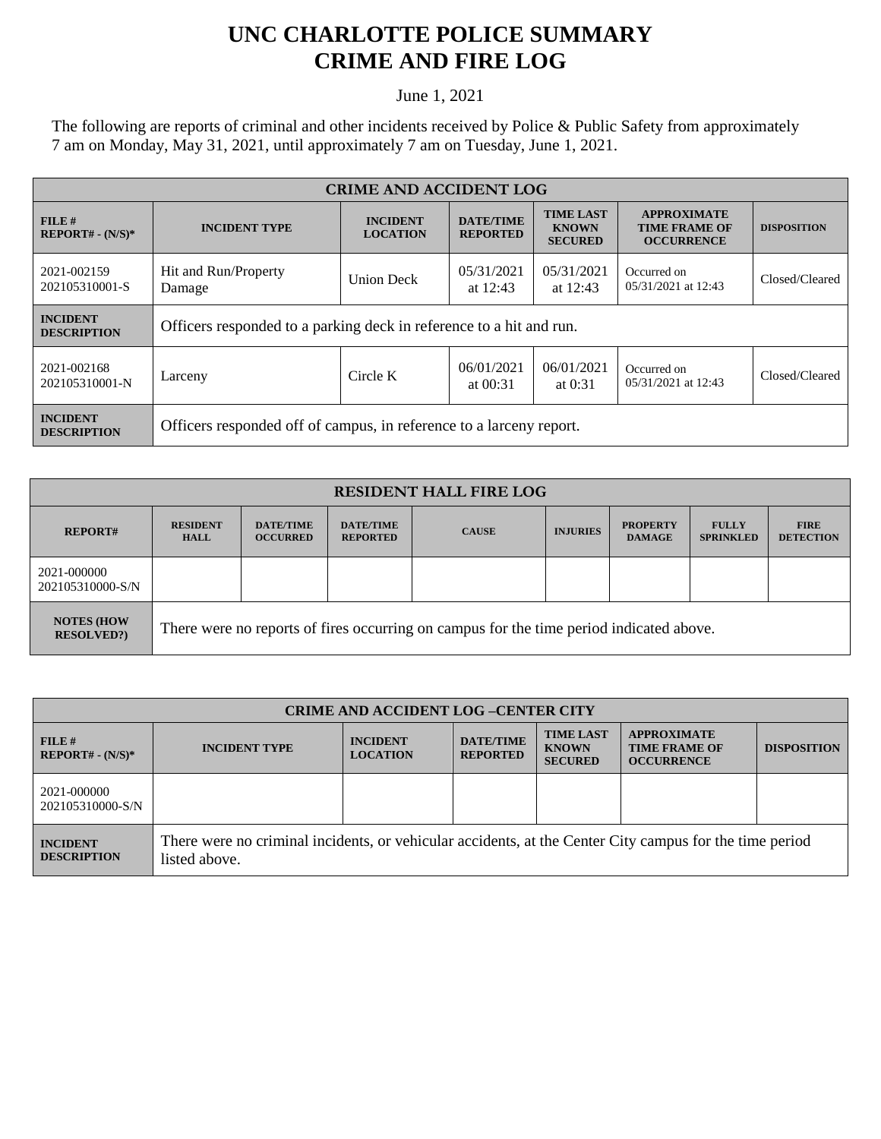## **UNC CHARLOTTE POLICE SUMMARY CRIME AND FIRE LOG**

June 1, 2021

The following are reports of criminal and other incidents received by Police & Public Safety from approximately 7 am on Monday, May 31, 2021, until approximately 7 am on Tuesday, June 1, 2021.

| <b>CRIME AND ACCIDENT LOG</b>         |                                                                     |                                                                                                                                 |                          |                                                                 |                                    |                |
|---------------------------------------|---------------------------------------------------------------------|---------------------------------------------------------------------------------------------------------------------------------|--------------------------|-----------------------------------------------------------------|------------------------------------|----------------|
| FILE H<br>$REPORT# - (N/S)*$          | <b>INCIDENT TYPE</b>                                                | <b>TIME LAST</b><br><b>DATE/TIME</b><br><b>INCIDENT</b><br><b>KNOWN</b><br><b>LOCATION</b><br><b>REPORTED</b><br><b>SECURED</b> |                          | <b>APPROXIMATE</b><br><b>TIME FRAME OF</b><br><b>OCCURRENCE</b> | <b>DISPOSITION</b>                 |                |
| 2021-002159<br>202105310001-S         | Hit and Run/Property<br>Damage                                      | <b>Union Deck</b>                                                                                                               | 05/31/2021<br>at $12:43$ | 05/31/2021<br>at $12:43$                                        | Occurred on<br>05/31/2021 at 12:43 | Closed/Cleared |
| <b>INCIDENT</b><br><b>DESCRIPTION</b> | Officers responded to a parking deck in reference to a hit and run. |                                                                                                                                 |                          |                                                                 |                                    |                |
| 2021-002168<br>202105310001-N         | Larceny                                                             | Circle K                                                                                                                        | 06/01/2021<br>at $00:31$ | 06/01/2021<br>at $0:31$                                         | Occurred on<br>05/31/2021 at 12:43 | Closed/Cleared |
| <b>INCIDENT</b><br><b>DESCRIPTION</b> | Officers responded off of campus, in reference to a larceny report. |                                                                                                                                 |                          |                                                                 |                                    |                |

| <b>RESIDENT HALL FIRE LOG</b>           |                                                                                         |                                     |                                     |              |                 |                                  |                                  |                                 |
|-----------------------------------------|-----------------------------------------------------------------------------------------|-------------------------------------|-------------------------------------|--------------|-----------------|----------------------------------|----------------------------------|---------------------------------|
| <b>REPORT#</b>                          | <b>RESIDENT</b><br><b>HALL</b>                                                          | <b>DATE/TIME</b><br><b>OCCURRED</b> | <b>DATE/TIME</b><br><b>REPORTED</b> | <b>CAUSE</b> | <b>INJURIES</b> | <b>PROPERTY</b><br><b>DAMAGE</b> | <b>FULLY</b><br><b>SPRINKLED</b> | <b>FIRE</b><br><b>DETECTION</b> |
| 2021-000000<br>202105310000-S/N         |                                                                                         |                                     |                                     |              |                 |                                  |                                  |                                 |
| <b>NOTES (HOW)</b><br><b>RESOLVED?)</b> | There were no reports of fires occurring on campus for the time period indicated above. |                                     |                                     |              |                 |                                  |                                  |                                 |

| <b>CRIME AND ACCIDENT LOG-CENTER CITY</b> |                                                                                                                          |                                    |                                     |                                                    |                                                                 |                    |
|-------------------------------------------|--------------------------------------------------------------------------------------------------------------------------|------------------------------------|-------------------------------------|----------------------------------------------------|-----------------------------------------------------------------|--------------------|
| $FILE$ #<br>$REPORT# - (N/S)*$            | <b>INCIDENT TYPE</b>                                                                                                     | <b>INCIDENT</b><br><b>LOCATION</b> | <b>DATE/TIME</b><br><b>REPORTED</b> | <b>TIME LAST</b><br><b>KNOWN</b><br><b>SECURED</b> | <b>APPROXIMATE</b><br><b>TIME FRAME OF</b><br><b>OCCURRENCE</b> | <b>DISPOSITION</b> |
| 2021-000000<br>202105310000-S/N           |                                                                                                                          |                                    |                                     |                                                    |                                                                 |                    |
| <b>INCIDENT</b><br><b>DESCRIPTION</b>     | There were no criminal incidents, or vehicular accidents, at the Center City campus for the time period<br>listed above. |                                    |                                     |                                                    |                                                                 |                    |